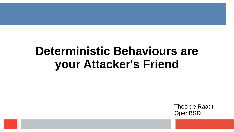# **Deterministic Behaviours are your Attacker's Friend**

Theo de Raadt **OpenBSD**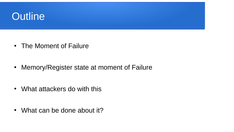#### **Outline**

• The Moment of Failure

• Memory/Register state at moment of Failure

• What attackers do with this

• What can be done about it?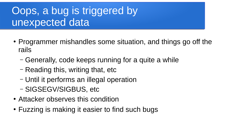## Oops, a bug is triggered by unexpected data

- Programmer mishandles some situation, and things go off the rails
	- Generally, code keeps running for a quite a while
	- Reading this, writing that, etc
	- Until it performs an illegal operation
	- SIGSEGV/SIGBUS, etc
- Attacker observes this condition
- Fuzzing is making it easier to find such bugs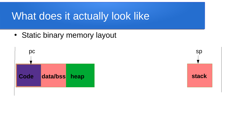## What does it actually look like

• Static binary memory layout



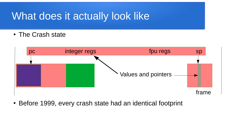## What does it actually look like

• The Crash state



• Before 1999, every crash state had an identical footprint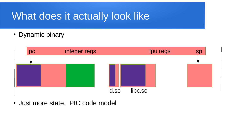## What does it actually look like

• Dynamic binary



• Just more state. PIC code model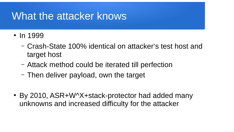## What the attacker knows

- In 1999
	- Crash-State 100% identical on attacker's test host and target host
	- Attack method could be iterated till perfection
	- Then deliver payload, own the target
- By 2010, ASR+W^X+stack-protector had added many unknowns and increased difficulty for the attacker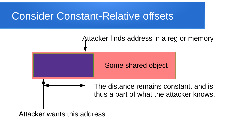## Consider Constant-Relative offsets



Attacker wants this address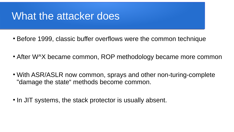### What the attacker does

- Before 1999, classic buffer overflows were the common technique
- After W<sup>A</sup>X became common, ROP methodology became more common
- With ASR/ASLR now common, sprays and other non-turing-complete "damage the state" methods become common.
- In JIT systems, the stack protector is usually absent.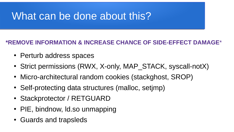## What can be done about this?

#### **\*REMOVE INFORMATION & INCREASE CHANCE OF SIDE-EFFECT DAMAGE**\*

- Perturb address spaces
- Strict permissions (RWX, X-only, MAP STACK, syscall-notX)
- Micro-architectural random cookies (stackghost, SROP)
- Self-protecting data structures (malloc, setimp)
- Stackprotector / RETGUARD
- PIE, bindnow, Id.so unmapping
- Guards and trapsleds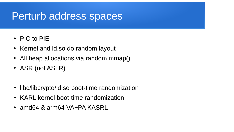## Perturb address spaces

- $\cdot$  PIC to PIF
- Kernel and Id.so do random layout
- All heap allocations via random mmap()
- ASR (not ASLR)
- libc/libcrypto/ld.so boot-time randomization
- KARL kernel boot-time randomization
- $\cdot$  amd64 & arm64 VA+PA KASRL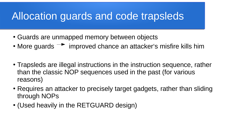## Allocation guards and code trapsleds

- Guards are unmapped memory between objects
- More guards  $\rightarrow$  improved chance an attacker's misfire kills him
- Trapsleds are illegal instructions in the instruction sequence, rather than the classic NOP sequences used in the past (for various reasons)
- Requires an attacker to precisely target gadgets, rather than sliding through NOPs
- (Used heavily in the RETGUARD design)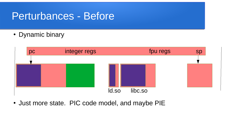#### Perturbances - Before

• Dynamic binary



• Just more state. PIC code model, and maybe PIE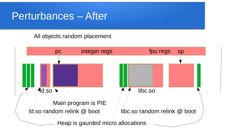#### Perturbances – After

All objects random placement

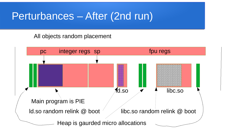#### Perturbances – After (2nd run)

All objects random placement

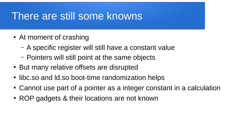#### There are still some knowns

- At moment of crashing
	- A specific register will still have a constant value
	- Pointers will still point at the same objects
- But many relative offsets are disrupted
- libc.so and Id.so boot-time randomization helps
- Cannot use part of a pointer as a integer constant in a calculation
- ROP gadgets & their locations are not known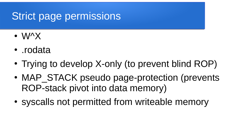## Strict page permissions

- W^X
- .rodata
- Trying to develop X-only (to prevent blind ROP)
- MAP STACK pseudo page-protection (prevents ROP-stack pivot into data memory)
- syscalls not permitted from writeable memory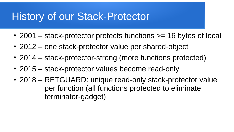### History of our Stack-Protector

- 2001 stack-protector protects functions  $\ge$  = 16 bytes of local
- 2012 one stack-protector value per shared-object
- 2014 stack-protector-strong (more functions protected)
- 2015 stack-protector values become read-only
- 2018 RETGUARD: unique read-only stack-protector value per function (all functions protected to eliminate terminator-gadget)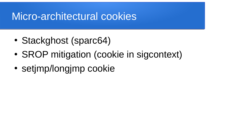## Micro-architectural cookies

- Stackghost (sparc64)
- SROP mitigation (cookie in sigcontext)
- setjmp/longjmp cookie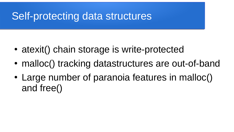### Self-protecting data structures

- atexit() chain storage is write-protected
- malloc() tracking datastructures are out-of-band
- Large number of paranoia features in malloc() and free()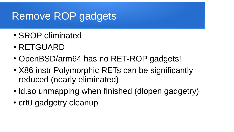## Remove ROP gadgets

- SROP eliminated
- RETGUARD
- OpenBSD/arm64 has no RET-ROP gadgets!
- X86 instr Polymorphic RETs can be significantly reduced (nearly eliminated)
- Id.so unmapping when finished (dlopen gadgetry)
- crt0 gadgetry cleanup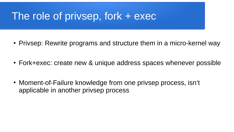## The role of privsep, fork + exec

- Privsep: Rewrite programs and structure them in a micro-kernel way
- Fork+exec: create new & unique address spaces whenever possible
- Moment-of-Failure knowledge from one privsep process, isn't applicable in another privsep process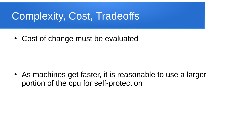## Complexity, Cost, Tradeoffs

• Cost of change must be evaluated

• As machines get faster, it is reasonable to use a larger portion of the cpu for self-protection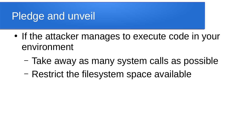## Pledge and unveil

- If the attacker manages to execute code in your environment
	- Take away as many system calls as possible
	- Restrict the filesystem space available